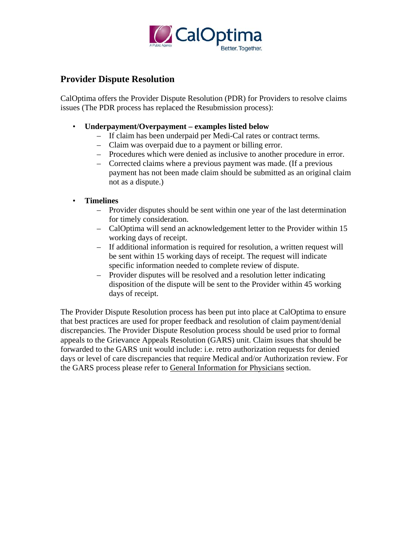

### **Provider Dispute Resolution**

CalOptima offers the Provider Dispute Resolution (PDR) for Providers to resolve claims issues (The PDR process has replaced the Resubmission process):

- • **Underpayment/Overpayment examples listed below** 
	- If claim has been underpaid per Medi-Cal rates or contract terms.
	- Claim was overpaid due to a payment or billing error.
	- Procedures which were denied as inclusive to another procedure in error.
	- Corrected claims where a previous payment was made. (If a previous payment has not been made claim should be submitted as an original claim not as a dispute.)
- • **Timelines** 
	- – Provider disputes should be sent within one year of the last determination for timely consideration.
	- CalOptima will send an acknowledgement letter to the Provider within 15 working days of receipt.
	- – If additional information is required for resolution, a written request will be sent within 15 working days of receipt. The request will indicate specific information needed to complete review of dispute.
	- Provider disputes will be resolved and a resolution letter indicating disposition of the dispute will be sent to the Provider within 45 working days of receipt.

The Provider Dispute Resolution process has been put into place at CalOptima to ensure that best practices are used for proper feedback and resolution of claim payment/denial discrepancies. The Provider Dispute Resolution process should be used prior to formal appeals to the Grievance Appeals Resolution (GARS) unit. Claim issues that should be forwarded to the GARS unit would include: i.e. retro authorization requests for denied days or level of care discrepancies that require Medical and/or Authorization review. For the GARS process please refer to General Information for Physicians section.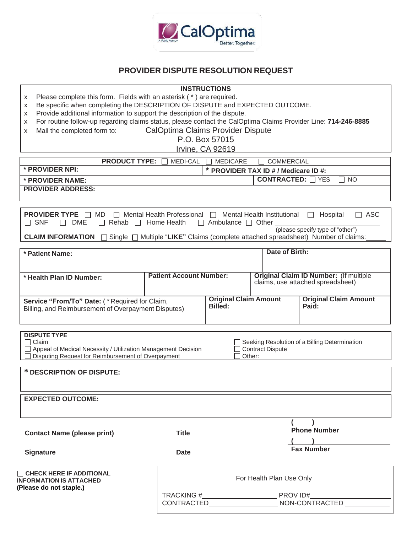

#### **PROVIDER DISPUTE RESOLUTION REQUEST**

#### **INSTRUCTIONS**

- x Please complete this form. Fields with an asterisk ( \* ) are required.
- x Be specific when completing the DESCRIPTION OF DISPUTE and EXPECTED OUTCOME.
- x Provide additional information to support the description of the dispute.
- x For routine follow-up regarding claims status, please contact the CalOptima Claims Provider Line: **714-246-8885**
- x Mail the completed form to: CalOptima Claims Provider Dispute

P.O. Box 57015

|                                                                                                                                                                                  |                                                                                                         | Irvine, CA 92619                                     |                                   |                                                                                                                                                 |  |  |  |  |
|----------------------------------------------------------------------------------------------------------------------------------------------------------------------------------|---------------------------------------------------------------------------------------------------------|------------------------------------------------------|-----------------------------------|-------------------------------------------------------------------------------------------------------------------------------------------------|--|--|--|--|
| <b>PRODUCT TYPE:</b>                                                                                                                                                             | MEDI-CAL                                                                                                | <b>MEDICARE</b>                                      | <b>COMMERCIAL</b>                 |                                                                                                                                                 |  |  |  |  |
| * PROVIDER NPI:                                                                                                                                                                  | * PROVIDER TAX ID # / Medicare ID #:                                                                    |                                                      |                                   |                                                                                                                                                 |  |  |  |  |
| * PROVIDER NAME:                                                                                                                                                                 |                                                                                                         | <b>CONTRACTED:</b> TYES<br><b>NO</b><br>$\mathsf{L}$ |                                   |                                                                                                                                                 |  |  |  |  |
| <b>PROVIDER ADDRESS:</b>                                                                                                                                                         |                                                                                                         |                                                      |                                   |                                                                                                                                                 |  |  |  |  |
|                                                                                                                                                                                  |                                                                                                         |                                                      |                                   |                                                                                                                                                 |  |  |  |  |
| <b>PROVIDER TYPE</b> □ MD<br>$\Box$ SNF<br>DME<br>$\Box$<br>CLAIM INFORMATION □                                                                                                  | $\Box$ Mental Health Professional $\Box$ Mental Health Institutional $\Box$<br>Rehab $\Box$ Home Health | $\Box$ Ambulance $\Box$ Other                        |                                   | $\Box$ ASC<br>Hospital<br>(please specify type of "other")<br>Single □ Multiple "LIKE" Claims (complete attached spreadsheet) Number of claims: |  |  |  |  |
| * Patient Name:                                                                                                                                                                  |                                                                                                         |                                                      | Date of Birth:                    |                                                                                                                                                 |  |  |  |  |
|                                                                                                                                                                                  |                                                                                                         |                                                      |                                   |                                                                                                                                                 |  |  |  |  |
| * Health Plan ID Number:                                                                                                                                                         | <b>Patient Account Number:</b>                                                                          |                                                      |                                   | <b>Original Claim ID Number: (If multiple</b><br>claims, use attached spreadsheet)                                                              |  |  |  |  |
| Service "From/To" Date: (*Required for Claim,<br>Billing, and Reimbursement of Overpayment Disputes)                                                                             |                                                                                                         | <b>Original Claim Amount</b><br><b>Billed:</b>       |                                   | <b>Original Claim Amount</b><br>Paid:                                                                                                           |  |  |  |  |
| <b>DISPUTE TYPE</b><br>Claim<br>Appeal of Medical Necessity / Utilization Management Decision<br>Disputing Request for Reimbursement of Overpayment<br>* DESCRIPTION OF DISPUTE: |                                                                                                         |                                                      | <b>Contract Dispute</b><br>Other: | Seeking Resolution of a Billing Determination                                                                                                   |  |  |  |  |
| <b>EXPECTED OUTCOME:</b>                                                                                                                                                         |                                                                                                         |                                                      |                                   |                                                                                                                                                 |  |  |  |  |
|                                                                                                                                                                                  |                                                                                                         |                                                      |                                   |                                                                                                                                                 |  |  |  |  |
| <b>Contact Name (please print)</b>                                                                                                                                               | <b>Title</b>                                                                                            |                                                      |                                   | <b>Phone Number</b>                                                                                                                             |  |  |  |  |
|                                                                                                                                                                                  |                                                                                                         |                                                      |                                   |                                                                                                                                                 |  |  |  |  |
| <b>Signature</b>                                                                                                                                                                 | Date                                                                                                    |                                                      |                                   | <b>Fax Number</b>                                                                                                                               |  |  |  |  |
| $\Box$ CHECK HERE IF ADDITIONAL<br><b>INFORMATION IS ATTACHED</b><br>(Please do not staple.)                                                                                     |                                                                                                         | For Health Plan Use Only                             |                                   |                                                                                                                                                 |  |  |  |  |
|                                                                                                                                                                                  |                                                                                                         |                                                      |                                   |                                                                                                                                                 |  |  |  |  |
|                                                                                                                                                                                  |                                                                                                         |                                                      |                                   |                                                                                                                                                 |  |  |  |  |